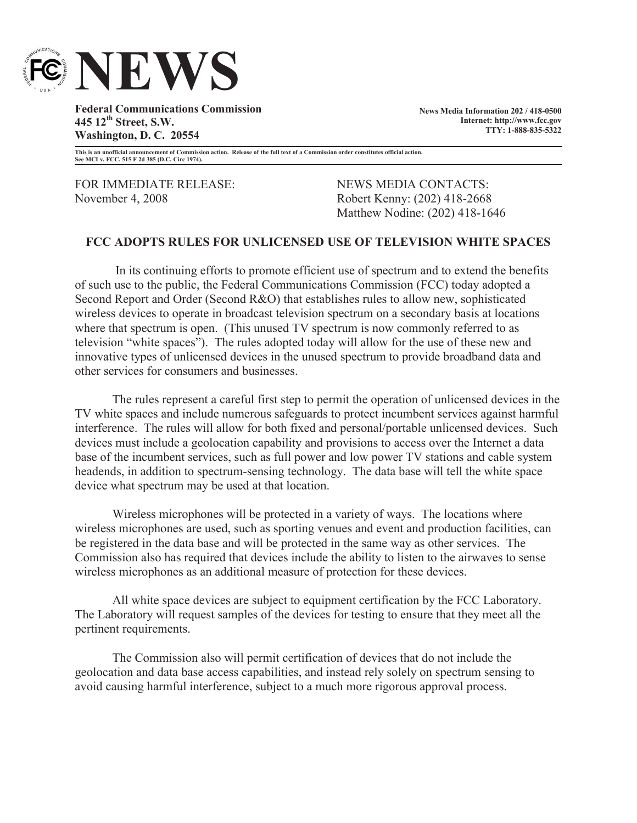

**Federal Communications Commission 445 12th Street, S.W. Washington, D. C. 20554**

**News Media Information 202 / 418-0500 Internet: http://www.fcc.gov TTY: 1-888-835-5322**

**This is an unofficial announcement of Commission action. Release of the full text of a Commission order constitutes official action. See MCI v. FCC. 515 F 2d 385 (D.C. Circ 1974).**

FOR IMMEDIATE RELEASE: NEWS MEDIA CONTACTS: November 4, 2008 Robert Kenny: (202) 418-2668

Matthew Nodine: (202) 418-1646

## **FCC ADOPTS RULES FOR UNLICENSED USE OF TELEVISION WHITE SPACES**

In its continuing efforts to promote efficient use of spectrum and to extend the benefits of such use to the public, the Federal Communications Commission (FCC) today adopted a Second Report and Order (Second R&O) that establishes rules to allow new, sophisticated wireless devices to operate in broadcast television spectrum on a secondary basis at locations where that spectrum is open. (This unused TV spectrum is now commonly referred to as television "white spaces"). The rules adopted today will allow for the use of these new and innovative types of unlicensed devices in the unused spectrum to provide broadband data and other services for consumers and businesses.

The rules represent a careful first step to permit the operation of unlicensed devices in the TV white spaces and include numerous safeguards to protect incumbent services against harmful interference. The rules will allow for both fixed and personal/portable unlicensed devices. Such devices must include a geolocation capability and provisions to access over the Internet a data base of the incumbent services, such as full power and low power TV stations and cable system headends, in addition to spectrum-sensing technology. The data base will tell the white space device what spectrum may be used at that location.

Wireless microphones will be protected in a variety of ways. The locations where wireless microphones are used, such as sporting venues and event and production facilities, can be registered in the data base and will be protected in the same way as other services. The Commission also has required that devices include the ability to listen to the airwaves to sense wireless microphones as an additional measure of protection for these devices.

All white space devices are subject to equipment certification by the FCC Laboratory. The Laboratory will request samples of the devices for testing to ensure that they meet all the pertinent requirements.

The Commission also will permit certification of devices that do not include the geolocation and data base access capabilities, and instead rely solely on spectrum sensing to avoid causing harmful interference, subject to a much more rigorous approval process.